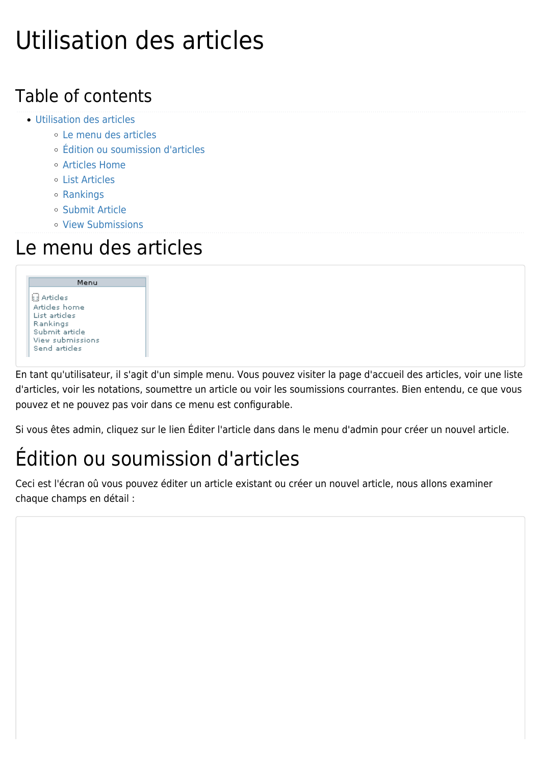# Utilisation des articles

#### Table of contents

- [Utilisation des articles](#page--1-0)
	- [Le menu des articles](#page--1-0)
	- [Édition ou soumission d'articles](#page--1-0)
	- [Articles Home](#page--1-0)
	- [List Articles](#page--1-0)
	- [Rankings](#page--1-0)
	- [Submit Article](#page--1-0)
	- [View Submissions](#page--1-0)

#### Le menu des articles

Menu **B** Articles Articles home List articles Rankings Submit article View submissions Send articles

En tant qu'utilisateur, il s'agit d'un simple menu. Vous pouvez visiter la page d'accueil des articles, voir une liste d'articles, voir les notations, soumettre un article ou voir les soumissions courrantes. Bien entendu, ce que vous pouvez et ne pouvez pas voir dans ce menu est configurable.

Si vous êtes admin, cliquez sur le lien Éditer l'article dans dans le menu d'admin pour créer un nouvel article.

## Édition ou soumission d'articles

Ceci est l'écran oû vous pouvez éditer un article existant ou créer un nouvel article, nous allons examiner chaque champs en détail :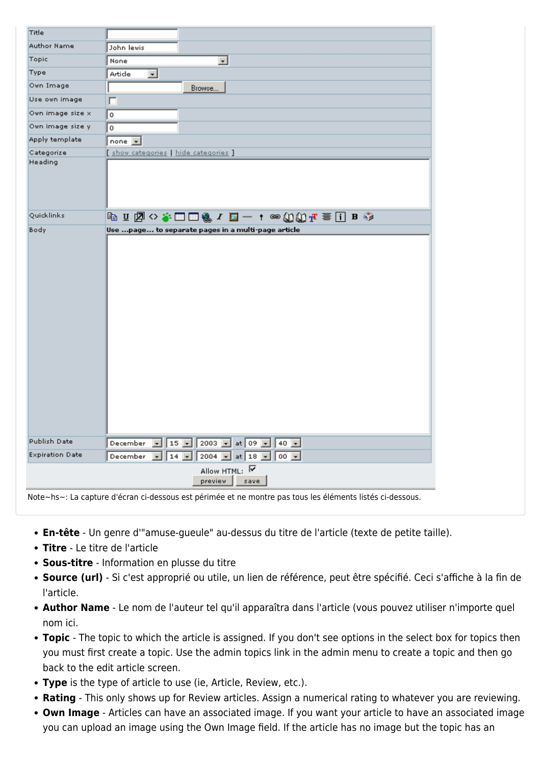| Title                  |                                                                                                           |
|------------------------|-----------------------------------------------------------------------------------------------------------|
| Author Name            | John lewis                                                                                                |
| Topic                  | $\overline{\phantom{a}}$<br>None                                                                          |
| Type                   | Article<br>$\overline{\mathbf{r}}$                                                                        |
| Own Image              | Browse                                                                                                    |
| Use own image          | г                                                                                                         |
| Own image size x       | $\circ$                                                                                                   |
| Own image size y       | $^{\circ}$                                                                                                |
| Apply template         | none $\boxed{\mathbf{v}}$                                                                                 |
| Categorize             | [ show categories   hide categories ]                                                                     |
| Heading                |                                                                                                           |
| Quicklinks             |                                                                                                           |
|                        |                                                                                                           |
| Publish Date           | December $\boxed{\cdot}$ 15 $\boxed{\cdot}$ 2003 $\boxed{\cdot}$ at 09 $\boxed{\cdot}$ 40 $\boxed{\cdot}$ |
| <b>Expiration Date</b> | December v 14 v 2004 v at 18 v 00 v                                                                       |
|                        | Allow HTML: V<br>preview  <br>save                                                                        |

**En-tête** - Un genre d'"amuse-gueule" au-dessus du titre de l'article (texte de petite taille).

- **Titre** Le titre de l'article
- **Sous-titre** Information en plusse du titre
- **Source (url)** Si c'est approprié ou utile, un lien de référence, peut être spécifié. Ceci s'affiche à la fin de l'article.
- **Author Name** Le nom de l'auteur tel qu'il apparaîtra dans l'article (vous pouvez utiliser n'importe quel nom ici.
- **Topic** The topic to which the article is assigned. If you don't see options in the select box for topics then you must first create a topic. Use the admin topics link in the admin menu to create a topic and then go back to the edit article screen.
- **Type** is the type of article to use (ie, Article, Review, etc.).
- **Rating** This only shows up for Review articles. Assign a numerical rating to whatever you are reviewing.
- **Own Image** Articles can have an associated image. If you want your article to have an associated image you can upload an image using the Own Image field. If the article has no image but the topic has an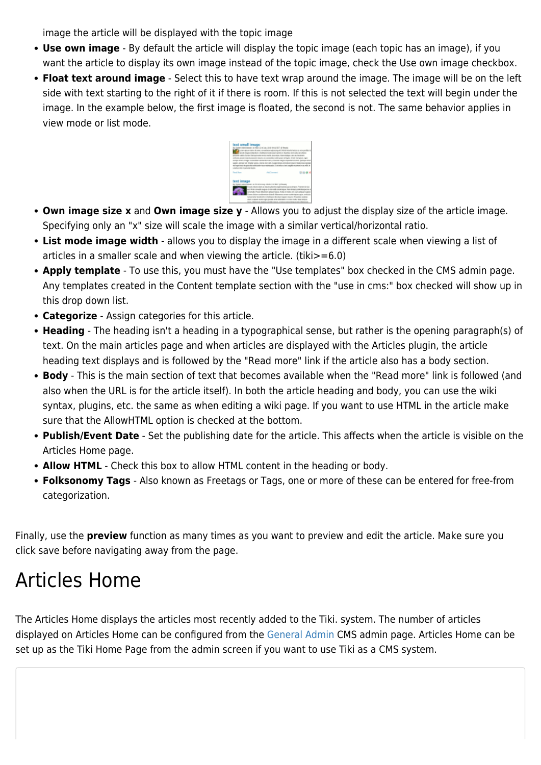image the article will be displayed with the topic image

- **Use own image** By default the article will display the topic image (each topic has an image), if you want the article to display its own image instead of the topic image, check the Use own image checkbox.
- **Float text around image** Select this to have text wrap around the image. The image will be on the left side with text starting to the right of it if there is room. If this is not selected the text will begin under the image. In the example below, the first image is floated, the second is not. The same behavior applies in view mode or list mode.



- **Own image size x** and **Own image size y** Allows you to adjust the display size of the article image. Specifying only an "x" size will scale the image with a similar vertical/horizontal ratio.
- **List mode image width** allows you to display the image in a different scale when viewing a list of articles in a smaller scale and when viewing the article. (tiki>=6.0)
- **Apply template** To use this, you must have the "Use templates" box checked in the CMS admin page. Any templates created in the Content template section with the "use in cms:" box checked will show up in this drop down list.
- **Categorize** Assign categories for this article.
- **Heading** The heading isn't a heading in a typographical sense, but rather is the opening paragraph(s) of text. On the main articles page and when articles are displayed with the Articles plugin, the article heading text displays and is followed by the "Read more" link if the article also has a body section.
- **Body** This is the main section of text that becomes available when the "Read more" link is followed (and also when the URL is for the article itself). In both the article heading and body, you can use the wiki syntax, plugins, etc. the same as when editing a wiki page. If you want to use HTML in the article make sure that the AllowHTML option is checked at the bottom.
- **Publish/Event Date** Set the publishing date for the article. This affects when the article is visible on the Articles Home page.
- **Allow HTML** Check this box to allow HTML content in the heading or body.
- **Folksonomy Tags** Also known as Freetags or Tags, one or more of these can be entered for free-from categorization.

Finally, use the **preview** function as many times as you want to preview and edit the article. Make sure you click save before navigating away from the page.

### Articles Home

The Articles Home displays the articles most recently added to the Tiki. system. The number of articles displayed on Articles Home can be configured from the [General Admin](https://doc.tiki.org/tiki-index.php?page=General+Admin) CMS admin page. Articles Home can be set up as the Tiki Home Page from the admin screen if you want to use Tiki as a CMS system.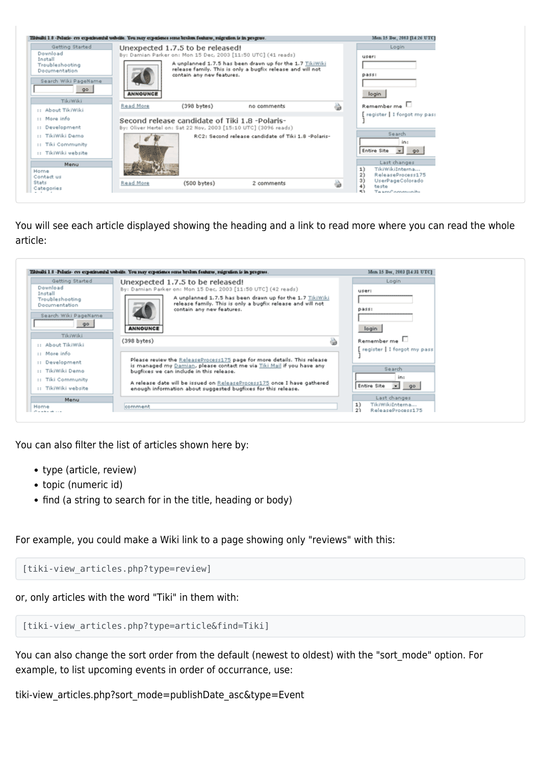| Getting Started                                                                       |                  | Unexpected 1.7.5 to be released!                                                                                  |                                                                                                                        |   | Login                                                                                      |
|---------------------------------------------------------------------------------------|------------------|-------------------------------------------------------------------------------------------------------------------|------------------------------------------------------------------------------------------------------------------------|---|--------------------------------------------------------------------------------------------|
| Download<br>Install<br>Troubleshooting<br>Documentation<br>Search Wiki PageName<br>90 | <b>ANNOUNCE</b>  | By: Damian Parker on: Mon 15 Dec, 2003 [11:50 UTC] (41 reads)<br>contain any new features.                        | A unplanned 1.7.5 has been drawn up for the 1.7 TikiWiki<br>release family. This is only a bugfix release and will not |   | <b>USBFI</b><br>DABII<br>login                                                             |
| TikiWiki<br>:: About TikiWiki                                                         | Read More        | (398 bytes)                                                                                                       | no comments                                                                                                            | ò | Remember me                                                                                |
| :: More info<br>:: Development<br>:: TikiWiki Demo<br><b>II</b> Tiki Community        | <b>Gyld</b>      | Second release candidate of Tiki 1.8 -Polaris-<br>By: Oliver Hertel on: Sat 22 Nov, 2003 [15:10 UTC] (3096 reads) | RC2: Second release candidate of Tiki 1.8 -Polaris-                                                                    |   | register   I forgot my pas:<br>Search<br>in:<br>Entire Site = go                           |
| :: TikiWiki website<br>Menu<br>Home<br>Contact us<br>State                            |                  |                                                                                                                   |                                                                                                                        |   | Last changes<br>TikiWikiInterna<br>1)<br>2)<br>ReleaseProcess175<br>3)<br>UserPageColorado |
| Categories                                                                            | <b>Read More</b> | (500 bytes)                                                                                                       | 2 comments                                                                                                             | 5 | 4)<br>teste<br><b>ALC</b><br>Taxon Consequeille                                            |

You will see each article displayed showing the heading and a link to read more where you can read the whole article:



You can also filter the list of articles shown here by:

- type (article, review)
- topic (numeric id)
- find (a string to search for in the title, heading or body)

For example, you could make a Wiki link to a page showing only "reviews" with this:

[tiki-view articles.php?type=review]

or, only articles with the word "Tiki" in them with:

[tiki-view articles.php?type=article&find=Tiki]

You can also change the sort order from the default (newest to oldest) with the "sort\_mode" option. For example, to list upcoming events in order of occurrance, use:

tiki-view\_articles.php?sort\_mode=publishDate\_asc&type=Event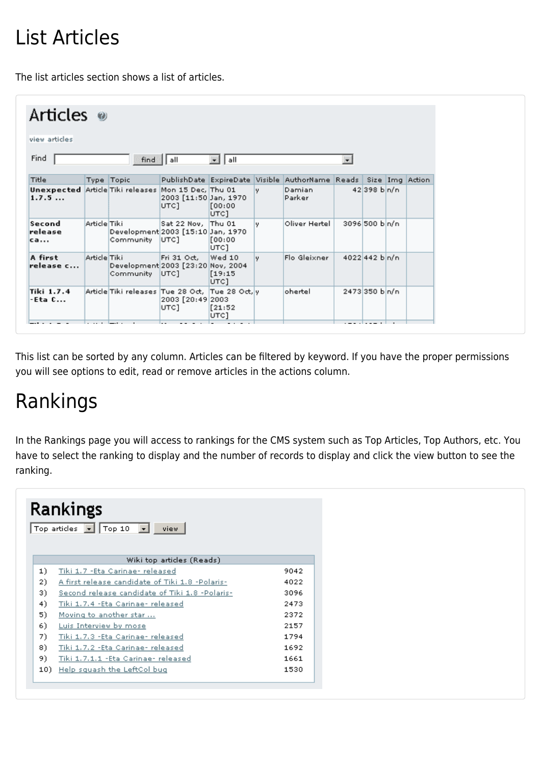## List Articles

The list articles section shows a list of articles.

| Articles <sup>®</sup>                         |              |                                                     |                                                     |                           |    |                                           |                       |                        |  |  |
|-----------------------------------------------|--------------|-----------------------------------------------------|-----------------------------------------------------|---------------------------|----|-------------------------------------------|-----------------------|------------------------|--|--|
| view articles<br>Find                         |              |                                                     |                                                     |                           |    |                                           |                       |                        |  |  |
| \∥all<br>$\blacksquare$<br>  all<br>⊣<br>find |              |                                                     |                                                     |                           |    |                                           |                       |                        |  |  |
| Title                                         |              | Type Topic                                          |                                                     |                           |    | PublishDate ExpireDate Visible AuthorName | Reads Size Img Action |                        |  |  |
| Unexpected Article Tiki releases<br>1.7.5     |              |                                                     | Mon 15 Dec. Thu 01<br>2003 [11:50 Jan, 1970<br>UTC] | [00:00]<br>UTC]           | v. | Damian<br>Parker                          |                       | 42398 b <sub>n/n</sub> |  |  |
| Second<br>release<br>ca                       | Article Tiki | Development 2003 [15:10 Jan, 1970<br>Community      | Sat 22 Nov, Thu 01<br>UTC]                          | [00:00<br>UTC1            | у. | Oliver Hertel                             |                       | 3096 500 bln/n         |  |  |
| A first<br>release c                          | Article Tiki | Development 2003 [23:20 Nov, 2004<br>Community UTC] | Fri 31 Oct,                                         | Wed 10<br>[19:15]<br>UTC] | v. | Flo Gleixner                              |                       | 4022 442 b n/n         |  |  |
| Tiki 1.7.4<br>-Eta C                          |              | Article Tiki releases Tue 28 Oct, Tue 28 Oct, y     | 2003 [20:49 2003<br>UTC]                            | [21:52]<br>UTC]           |    | ohertel                                   |                       | 2473350 bn/n           |  |  |
|                                               |              |                                                     |                                                     |                           |    |                                           |                       |                        |  |  |

This list can be sorted by any column. Articles can be filtered by keyword. If you have the proper permissions you will see options to edit, read or remove articles in the actions column.

### Rankings

In the Rankings page you will access to rankings for the CMS system such as Top Articles, Top Authors, etc. You have to select the ranking to display and the number of records to display and click the view button to see the ranking.

| Rankings<br>Top articles $\boxed{\bullet}$ Top 10 $\boxed{\bullet}$<br>view. |                                                 |      |  |  |
|------------------------------------------------------------------------------|-------------------------------------------------|------|--|--|
|                                                                              | Wiki top articles (Reads)                       |      |  |  |
| 1)                                                                           | Tiki 1.7 - Eta Carinae- released                | 9042 |  |  |
| 2)                                                                           | A first release candidate of Tiki 1.8 -Polaris- | 4022 |  |  |
| 3)                                                                           | Second release candidate of Tiki 1.8 -Polaris-  | 3096 |  |  |
| 4)                                                                           | Tiki 1.7.4 - Eta Carinae- released              | 2473 |  |  |
| 5)                                                                           | Moving to another star                          | 2372 |  |  |
| 6)                                                                           | Luis Interview by mose                          | 2157 |  |  |
| 7)                                                                           | Tiki 1,7,3 -Eta Carinae- released               | 1794 |  |  |
| 8)                                                                           | Tiki 1.7.2 - Eta Carinae - released             | 1692 |  |  |
| 9)                                                                           | Tiki 1.7.1.1 - Eta Carinae- released            | 1661 |  |  |
| 10)                                                                          | Help squash the LeftCol bug                     | 1530 |  |  |
|                                                                              |                                                 |      |  |  |